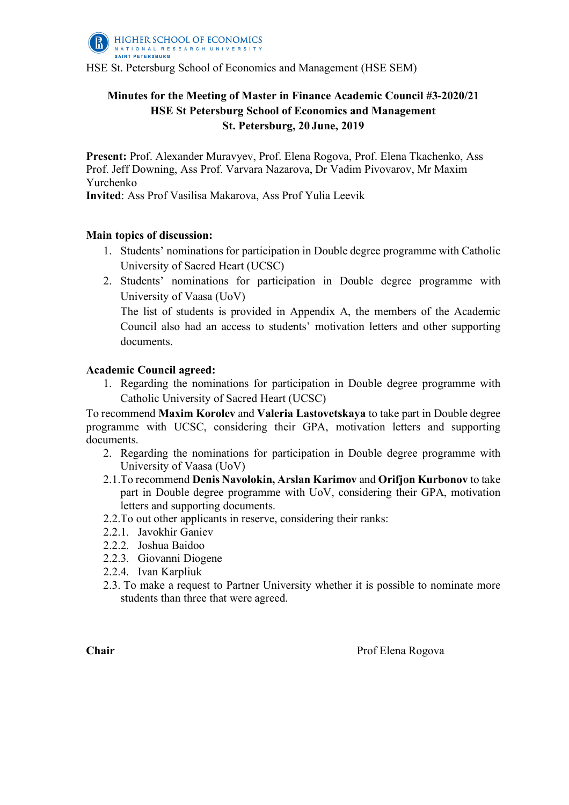

HSE St. Petersburg School of Economics and Management (HSE SEM)

## **Minutes for the Meeting of Master in Finance Academic Council #3-2020/21 HSE St Petersburg School of Economics and Management St. Petersburg, 20 June, 2019**

**Present:** Prof. Alexander Muravyev, Prof. Elena Rogova, Prof. Elena Tkachenko, Ass Prof. Jeff Downing, Ass Prof. Varvara Nazarova, Dr Vadim Pivovarov, Mr Maxim Yurchenko

**Invited**: Ass Prof Vasilisa Makarova, Ass Prof Yulia Leevik

### **Main topics of discussion:**

- 1. Students' nominations for participation in Double degree programme with Catholic University of Sacred Heart (UCSC)
- 2. Students' nominations for participation in Double degree programme with University of Vaasa (UoV)

The list of students is provided in Appendix A, the members of the Academic Council also had an access to students' motivation letters and other supporting documents.

### **Academic Council agreed:**

1. Regarding the nominations for participation in Double degree programme with Catholic University of Sacred Heart (UCSC)

To recommend **Maxim Korolev** and **Valeria Lastovetskaya** to take part in Double degree programme with UCSC, considering their GPA, motivation letters and supporting documents.

- 2. Regarding the nominations for participation in Double degree programme with University of Vaasa (UoV)
- 2.1.To recommend **Denis Navolokin, Arslan Karimov** and **Orifjon Kurbonov** to take part in Double degree programme with UoV, considering their GPA, motivation letters and supporting documents.
- 2.2.To out other applicants in reserve, considering their ranks:
- 2.2.1. Javokhir Ganiev
- 2.2.2. Joshua Baidoo
- 2.2.3. Giovanni Diogene
- 2.2.4. Ivan Karpliuk
- 2.3. To make a request to Partner University whether it is possible to nominate more students than three that were agreed.

**Chair** Prof Elena Rogova